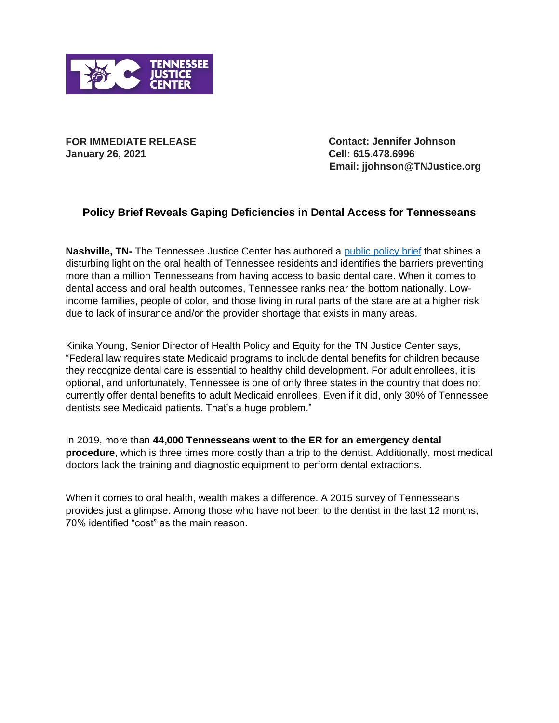

**FOR IMMEDIATE RELEASE January 26, 2021**

**Contact: Jennifer Johnson Cell: 615.478.6996 Email: jjohnson@TNJustice.org**

## **Policy Brief Reveals Gaping Deficiencies in Dental Access for Tennesseans**

Nashville, TN- The Tennessee Justice Center has authored a [public policy brief](https://www.tnjustice.org/separate-and-unequal-policies-to-promote-dental-care-as-essential-and-reduce-oral-health-disparities/) that shines a disturbing light on the oral health of Tennessee residents and identifies the barriers preventing more than a million Tennesseans from having access to basic dental care. When it comes to dental access and oral health outcomes, Tennessee ranks near the bottom nationally. Lowincome families, people of color, and those living in rural parts of the state are at a higher risk due to lack of insurance and/or the provider shortage that exists in many areas.

Kinika Young, Senior Director of Health Policy and Equity for the TN Justice Center says, "Federal law requires state Medicaid programs to include dental benefits for children because they recognize dental care is essential to healthy child development. For adult enrollees, it is optional, and unfortunately, Tennessee is one of only three states in the country that does not currently offer dental benefits to adult Medicaid enrollees. Even if it did, only 30% of Tennessee dentists see Medicaid patients. That's a huge problem."

In 2019, more than **44,000 Tennesseans went to the ER for an emergency dental procedure**, which is three times more costly than a trip to the dentist. Additionally, most medical doctors lack the training and diagnostic equipment to perform dental extractions.

When it comes to oral health, wealth makes a difference. A 2015 survey of Tennesseans provides just a glimpse. Among those who have not been to the dentist in the last 12 months, 70% identified "cost" as the main reason.